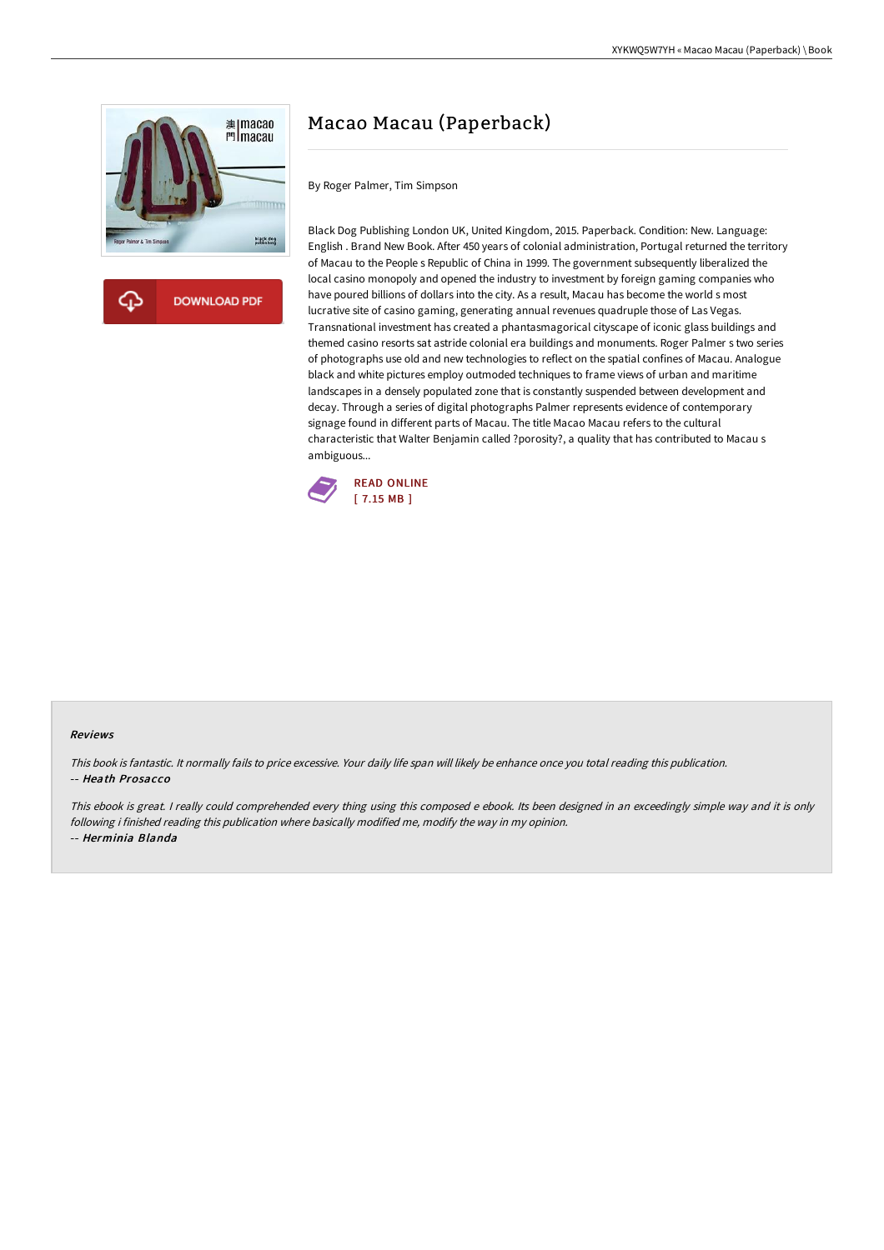



# Macao Macau (Paperback)

By Roger Palmer, Tim Simpson

Black Dog Publishing London UK, United Kingdom, 2015. Paperback. Condition: New. Language: English . Brand New Book. After 450 years of colonial administration, Portugal returned the territory of Macau to the People s Republic of China in 1999. The government subsequently liberalized the local casino monopoly and opened the industry to investment by foreign gaming companies who have poured billions of dollars into the city. As a result, Macau has become the world s most lucrative site of casino gaming, generating annual revenues quadruple those of Las Vegas. Transnational investment has created a phantasmagorical cityscape of iconic glass buildings and themed casino resorts sat astride colonial era buildings and monuments. Roger Palmer s two series of photographs use old and new technologies to reflect on the spatial confines of Macau. Analogue black and white pictures employ outmoded techniques to frame views of urban and maritime landscapes in a densely populated zone that is constantly suspended between development and decay. Through a series of digital photographs Palmer represents evidence of contemporary signage found in different parts of Macau. The title Macao Macau refers to the cultural characteristic that Walter Benjamin called ?porosity?, a quality that has contributed to Macau s ambiguous...



#### Reviews

This book is fantastic. It normally fails to price excessive. Your daily life span will likely be enhance once you total reading this publication. -- Heath Prosacco

This ebook is great. I really could comprehended every thing using this composed <sup>e</sup> ebook. Its been designed in an exceedingly simple way and it is only following i finished reading this publication where basically modified me, modify the way in my opinion. -- Herminia Blanda